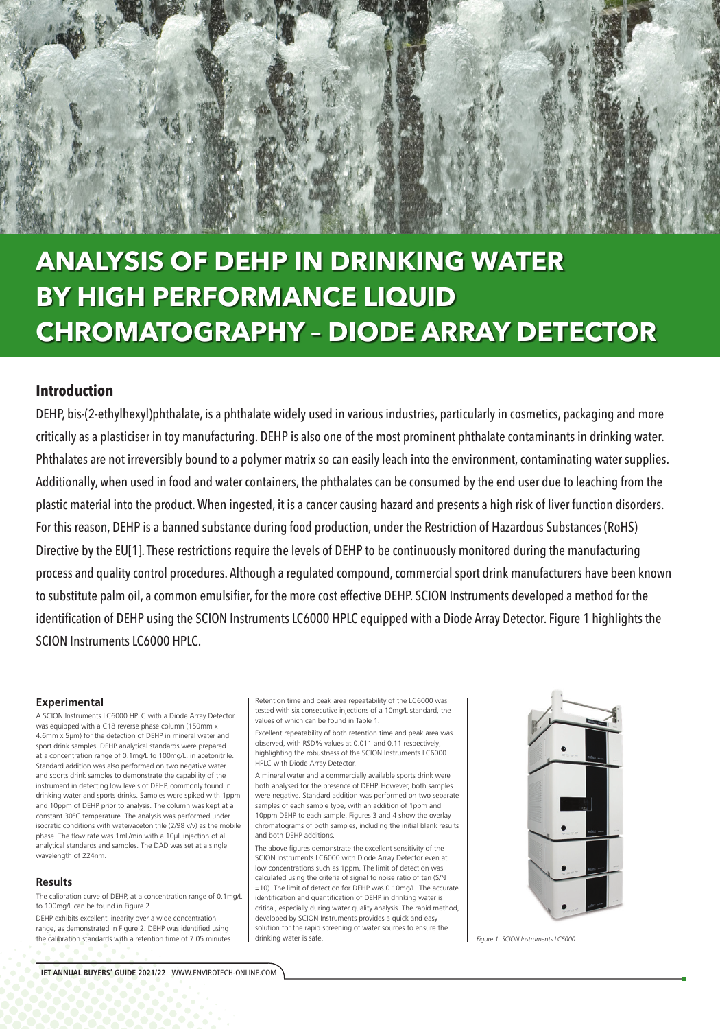### **Experimental**

A SCION Instruments LC6000 HPLC with a Diode Array Detector was equipped with a C18 reverse phase column (150mm x 4.6mm x 5µm) for the detection of DEHP in mineral water and sport drink samples. DEHP analytical standards were prepared at a concentration range of 0.1mg/L to 100mg/L, in acetonitrile. Standard addition was also performed on two negative water and sports drink samples to demonstrate the capability of the instrument in detecting low levels of DEHP, commonly found in drinking water and sports drinks. Samples were spiked with 1ppm and 10ppm of DEHP prior to analysis. The column was kept at a constant 30°C temperature. The analysis was performed under isocratic conditions with water/acetonitrile (2/98 v/v) as the mobile phase. The flow rate was 1mL/min with a 10µL injection of all analytical standards and samples. The DAD was set at a single wavelength of 224nm.

#### **Results**

The calibration curve of DEHP, at a concentration range of 0.1mg/L to 100mg/L can be found in Figure 2.

DEHP exhibits excellent linearity over a wide concentration range, as demonstrated in Figure 2. DEHP was identified using the calibration standards with a retention time of 7.05 minutes. Retention time and peak area repeatability of the LC6000 was tested with six consecutive injections of a 10mg/L standard, the values of which can be found in Table 1.

Excellent repeatability of both retention time and peak area was observed, with RSD% values at 0.011 and 0.11 respectively; highlighting the robustness of the SCION Instruments LC6000 HPLC with Diode Array Detector.

A mineral water and a commercially available sports drink were both analysed for the presence of DEHP. However, both samples were negative. Standard addition was performed on two separate samples of each sample type, with an addition of 1ppm and 10ppm DEHP to each sample. Figures 3 and 4 show the overlay chromatograms of both samples, including the initial blank results and both DEHP additions.



The above figures demonstrate the excellent sensitivity of the SCION Instruments LC6000 with Diode Array Detector even at low concentrations such as 1ppm. The limit of detection was calculated using the criteria of signal to noise ratio of ten (S/N =10). The limit of detection for DEHP was 0.10mg/L. The accurate identification and quantification of DEHP in drinking water is critical, especially during water quality analysis. The rapid method, developed by SCION Instruments provides a quick and easy solution for the rapid screening of water sources to ensure the drinking water is safe.



# **ANALYSIS OF DEHP IN DRINKING WATER BY HIGH PERFORMANCE LIQUID CHROMATOGRAPHY – DIODE ARRAY DETECTOR**

## **Introduction**

DEHP, bis-(2-ethylhexyl)phthalate, is a phthalate widely used in various industries, particularly in cosmetics, packaging and more critically as a plasticiser in toy manufacturing. DEHP is also one of the most prominent phthalate contaminants in drinking water. Phthalates are not irreversibly bound to a polymer matrix so can easily leach into the environment, contaminating water supplies. Additionally, when used in food and water containers, the phthalates can be consumed by the end user due to leaching from the plastic material into the product. When ingested, it is a cancer causing hazard and presents a high risk of liver function disorders. For this reason, DEHP is a banned substance during food production, under the Restriction of Hazardous Substances (RoHS) Directive by the EU[1]. These restrictions require the levels of DEHP to be continuously monitored during the manufacturing process and quality control procedures. Although a regulated compound, commercial sport drink manufacturers have been known to substitute palm oil, a common emulsifier, for the more cost effective DEHP. SCION Instruments developed a method for the identification of DEHP using the SCION Instruments LC6000 HPLC equipped with a Diode Array Detector. Figure 1 highlights the SCION Instruments LC6000 HPLC.

*Figure 1. SCION Instruments LC6000*

**IET ANNUAL BUYERS' GUIDE 2021/22** WWW.ENVIROTECH-ONLINE.COM